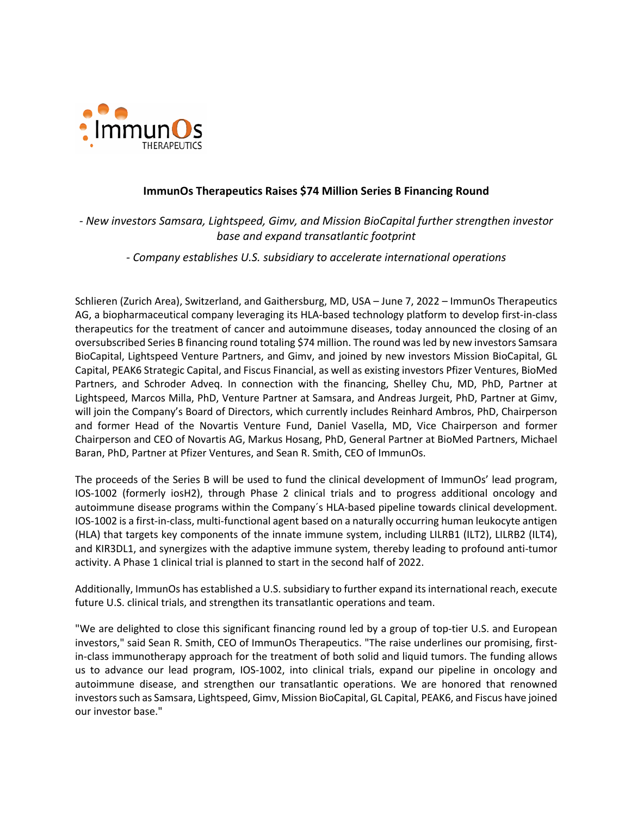

## **ImmunOs Therapeutics Raises \$74 Million Series B Financing Round**

*- New investors Samsara, Lightspeed, Gimv, and Mission BioCapital further strengthen investor base and expand transatlantic footprint*

*- Company establishes U.S. subsidiary to accelerate international operations*

Schlieren (Zurich Area), Switzerland, and Gaithersburg, MD, USA – June 7, 2022 – ImmunOs Therapeutics AG, a biopharmaceutical company leveraging its HLA-based technology platform to develop first-in-class therapeutics for the treatment of cancer and autoimmune diseases, today announced the closing of an oversubscribed Series B financing round totaling \$74 million. The round was led by new investors Samsara BioCapital, Lightspeed Venture Partners, and Gimv, and joined by new investors Mission BioCapital, GL Capital, PEAK6 Strategic Capital, and Fiscus Financial, as well as existing investors Pfizer Ventures, BioMed Partners, and Schroder Adveq. In connection with the financing, Shelley Chu, MD, PhD, Partner at Lightspeed, Marcos Milla, PhD, Venture Partner at Samsara, and Andreas Jurgeit, PhD, Partner at Gimv, will join the Company's Board of Directors, which currently includes Reinhard Ambros, PhD, Chairperson and former Head of the Novartis Venture Fund, Daniel Vasella, MD, Vice Chairperson and former Chairperson and CEO of Novartis AG, Markus Hosang, PhD, General Partner at BioMed Partners, Michael Baran, PhD, Partner at Pfizer Ventures, and Sean R. Smith, CEO of ImmunOs.

The proceeds of the Series B will be used to fund the clinical development of ImmunOs' lead program, IOS-1002 (formerly iosH2), through Phase 2 clinical trials and to progress additional oncology and autoimmune disease programs within the Company´s HLA-based pipeline towards clinical development. IOS-1002 is a first-in-class, multi-functional agent based on a naturally occurring human leukocyte antigen (HLA) that targets key components of the innate immune system, including LILRB1 (ILT2), LILRB2 (ILT4), and KIR3DL1, and synergizes with the adaptive immune system, thereby leading to profound anti-tumor activity. A Phase 1 clinical trial is planned to start in the second half of 2022.

Additionally, ImmunOs has established a U.S. subsidiary to further expand its international reach, execute future U.S. clinical trials, and strengthen its transatlantic operations and team.

"We are delighted to close this significant financing round led by a group of top-tier U.S. and European investors," said Sean R. Smith, CEO of ImmunOs Therapeutics. "The raise underlines our promising, firstin-class immunotherapy approach for the treatment of both solid and liquid tumors. The funding allows us to advance our lead program, IOS-1002, into clinical trials, expand our pipeline in oncology and autoimmune disease, and strengthen our transatlantic operations. We are honored that renowned investors such as Samsara, Lightspeed, Gimv, Mission BioCapital, GL Capital, PEAK6, and Fiscus have joined our investor base."